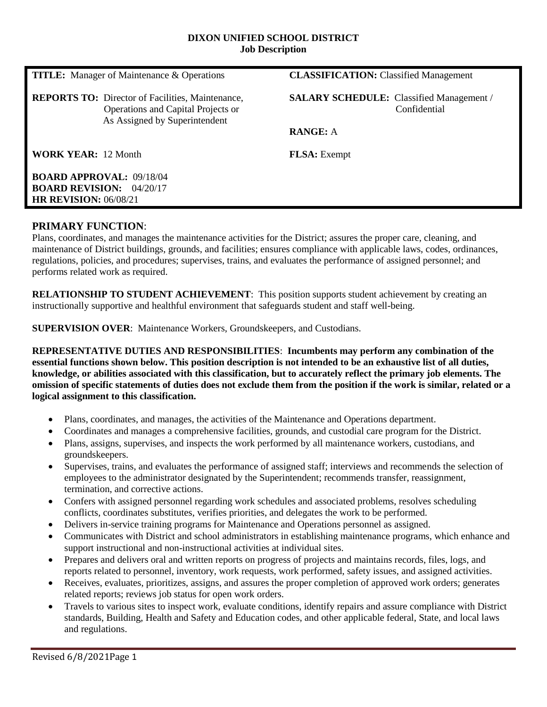#### **DIXON UNIFIED SCHOOL DISTRICT Job Description**

| <b>TITLE:</b> Manager of Maintenance & Operations                                                                              | <b>CLASSIFICATION:</b> Classified Management                    |
|--------------------------------------------------------------------------------------------------------------------------------|-----------------------------------------------------------------|
| <b>REPORTS TO:</b> Director of Facilities, Maintenance,<br>Operations and Capital Projects or<br>As Assigned by Superintendent | <b>SALARY SCHEDULE:</b> Classified Management /<br>Confidential |
|                                                                                                                                | <b>RANGE: A</b>                                                 |
| <b>WORK YEAR: 12 Month</b>                                                                                                     | <b>FLSA</b> : Exempt                                            |
| <b>BOARD APPROVAL: 09/18/04</b><br><b>BOARD REVISION: 04/20/17</b><br><b>HR REVISION: 06/08/21</b>                             |                                                                 |

# **PRIMARY FUNCTION**:

Plans, coordinates, and manages the maintenance activities for the District; assures the proper care, cleaning, and maintenance of District buildings, grounds, and facilities; ensures compliance with applicable laws, codes, ordinances, regulations, policies, and procedures; supervises, trains, and evaluates the performance of assigned personnel; and performs related work as required.

**RELATIONSHIP TO STUDENT ACHIEVEMENT**: This position supports student achievement by creating an instructionally supportive and healthful environment that safeguards student and staff well-being.

**SUPERVISION OVER**: Maintenance Workers, Groundskeepers, and Custodians.

**REPRESENTATIVE DUTIES AND RESPONSIBILITIES**: **Incumbents may perform any combination of the essential functions shown below. This position description is not intended to be an exhaustive list of all duties, knowledge, or abilities associated with this classification, but to accurately reflect the primary job elements. The omission of specific statements of duties does not exclude them from the position if the work is similar, related or a logical assignment to this classification.**

- Plans, coordinates, and manages, the activities of the Maintenance and Operations department.
- Coordinates and manages a comprehensive facilities, grounds, and custodial care program for the District.
- Plans, assigns, supervises, and inspects the work performed by all maintenance workers, custodians, and groundskeepers.
- Supervises, trains, and evaluates the performance of assigned staff; interviews and recommends the selection of employees to the administrator designated by the Superintendent; recommends transfer, reassignment, termination, and corrective actions.
- Confers with assigned personnel regarding work schedules and associated problems, resolves scheduling conflicts, coordinates substitutes, verifies priorities, and delegates the work to be performed.
- Delivers in-service training programs for Maintenance and Operations personnel as assigned.
- Communicates with District and school administrators in establishing maintenance programs, which enhance and support instructional and non-instructional activities at individual sites.
- Prepares and delivers oral and written reports on progress of projects and maintains records, files, logs, and reports related to personnel, inventory, work requests, work performed, safety issues, and assigned activities.
- Receives, evaluates, prioritizes, assigns, and assures the proper completion of approved work orders; generates related reports; reviews job status for open work orders.
- Travels to various sites to inspect work, evaluate conditions, identify repairs and assure compliance with District standards, Building, Health and Safety and Education codes, and other applicable federal, State, and local laws and regulations.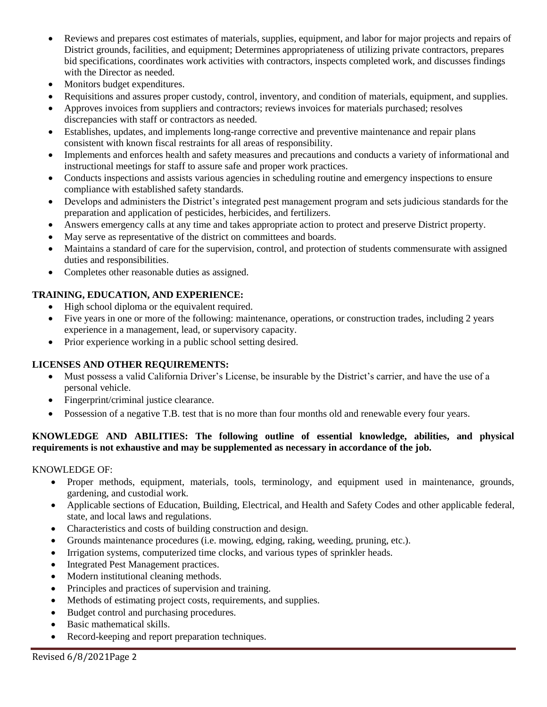- Reviews and prepares cost estimates of materials, supplies, equipment, and labor for major projects and repairs of District grounds, facilities, and equipment; Determines appropriateness of utilizing private contractors, prepares bid specifications, coordinates work activities with contractors, inspects completed work, and discusses findings with the Director as needed.
- Monitors budget expenditures.
- Requisitions and assures proper custody, control, inventory, and condition of materials, equipment, and supplies.
- Approves invoices from suppliers and contractors; reviews invoices for materials purchased; resolves discrepancies with staff or contractors as needed.
- Establishes, updates, and implements long-range corrective and preventive maintenance and repair plans consistent with known fiscal restraints for all areas of responsibility.
- Implements and enforces health and safety measures and precautions and conducts a variety of informational and instructional meetings for staff to assure safe and proper work practices.
- Conducts inspections and assists various agencies in scheduling routine and emergency inspections to ensure compliance with established safety standards.
- Develops and administers the District's integrated pest management program and sets judicious standards for the preparation and application of pesticides, herbicides, and fertilizers.
- Answers emergency calls at any time and takes appropriate action to protect and preserve District property.
- May serve as representative of the district on committees and boards.
- Maintains a standard of care for the supervision, control, and protection of students commensurate with assigned duties and responsibilities.
- Completes other reasonable duties as assigned.

# **TRAINING, EDUCATION, AND EXPERIENCE:**

- High school diploma or the equivalent required.
- Five years in one or more of the following: maintenance, operations, or construction trades, including 2 years experience in a management, lead, or supervisory capacity.
- Prior experience working in a public school setting desired.

# **LICENSES AND OTHER REQUIREMENTS:**

- Must possess a valid California Driver's License, be insurable by the District's carrier, and have the use of a personal vehicle.
- Fingerprint/criminal justice clearance.
- Possession of a negative T.B. test that is no more than four months old and renewable every four years.

# **KNOWLEDGE AND ABILITIES: The following outline of essential knowledge, abilities, and physical requirements is not exhaustive and may be supplemented as necessary in accordance of the job.**

# KNOWLEDGE OF:

- Proper methods, equipment, materials, tools, terminology, and equipment used in maintenance, grounds, gardening, and custodial work.
- Applicable sections of Education, Building, Electrical, and Health and Safety Codes and other applicable federal, state, and local laws and regulations.
- Characteristics and costs of building construction and design.
- Grounds maintenance procedures (i.e. mowing, edging, raking, weeding, pruning, etc.).
- Irrigation systems, computerized time clocks, and various types of sprinkler heads.
- Integrated Pest Management practices.
- Modern institutional cleaning methods.
- Principles and practices of supervision and training.
- Methods of estimating project costs, requirements, and supplies.
- Budget control and purchasing procedures.
- Basic mathematical skills.
- Record-keeping and report preparation techniques.